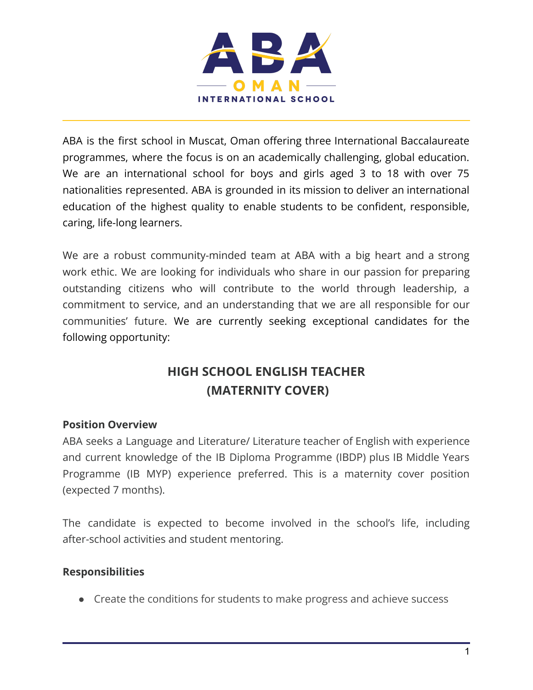

ABA is the first school in Muscat, Oman offering three International Baccalaureate programmes, where the focus is on an academically challenging, global education. We are an international school for boys and girls aged 3 to 18 with over 75 nationalities represented. ABA is grounded in its mission to deliver an international education of the highest quality to enable students to be confident, responsible, caring, life-long learners.

We are a robust community-minded team at ABA with a big heart and a strong work ethic. We are looking for individuals who share in our passion for preparing outstanding citizens who will contribute to the world through leadership, a commitment to service, and an understanding that we are all responsible for our communities' future. We are currently seeking exceptional candidates for the following opportunity:

## **HIGH SCHOOL ENGLISH TEACHER (MATERNITY COVER)**

## **Position Overview**

ABA seeks a Language and Literature/ Literature teacher of English with experience and current knowledge of the IB Diploma Programme (IBDP) plus IB Middle Years Programme (IB MYP) experience preferred. This is a maternity cover position (expected 7 months).

The candidate is expected to become involved in the school's life, including after-school activities and student mentoring.

## **Responsibilities**

● Create the conditions for students to make progress and achieve success